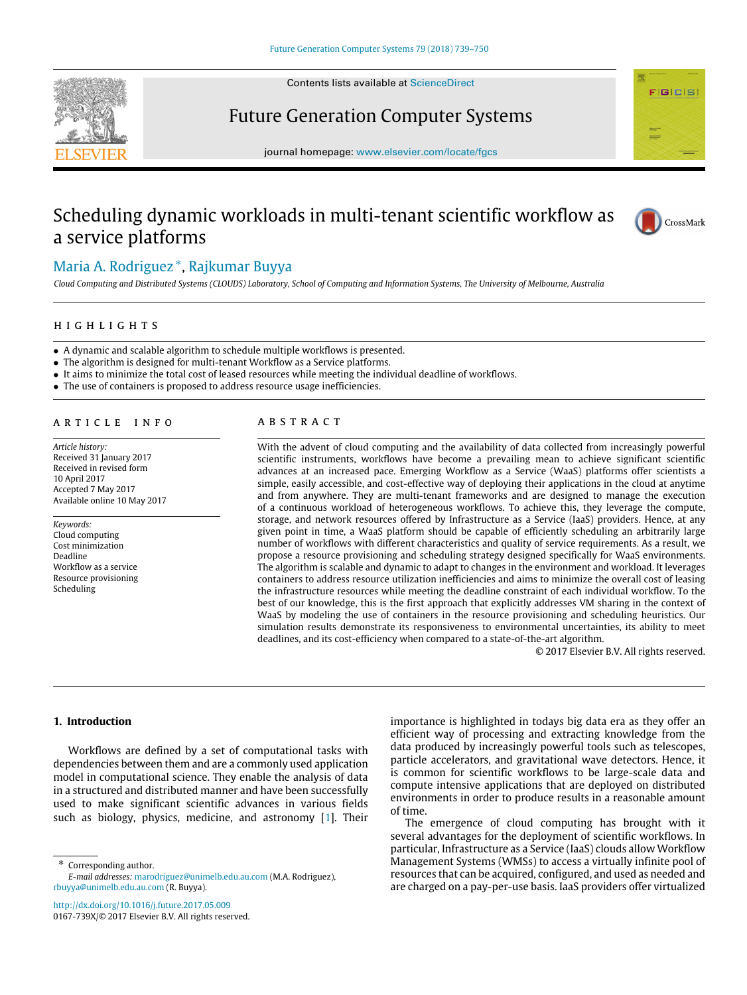

Contents lists available at [ScienceDirect](http://www.elsevier.com/locate/fgcs)

# Future Generation Computer Systems



journal homepage: [www.elsevier.com/locate/fgcs](http://www.elsevier.com/locate/fgcs)

# Scheduling dynamic workloads in multi-tenant scientific workflow as a service platforms



# [Maria A. Rodriguez](#page-11-0) \*, [Rajkumar Buyya](#page-11-1)

*Cloud Computing and Distributed Systems (CLOUDS) Laboratory, School of Computing and Information Systems, The University of Melbourne, Australia*

# h i g h l i g h t s

- A dynamic and scalable algorithm to schedule multiple workflows is presented.
- The algorithm is designed for multi-tenant Workflow as a Service platforms.
- It aims to minimize the total cost of leased resources while meeting the individual deadline of workflows.
- The use of containers is proposed to address resource usage inefficiencies.

## ARTICLE INFO

*Article history:* Received 31 January 2017 Received in revised form 10 April 2017 Accepted 7 May 2017 Available online 10 May 2017

#### *Keywords:* Cloud computing Cost minimization Deadline Workflow as a service Resource provisioning Scheduling

# a b s t r a c t

With the advent of cloud computing and the availability of data collected from increasingly powerful scientific instruments, workflows have become a prevailing mean to achieve significant scientific advances at an increased pace. Emerging Workflow as a Service (WaaS) platforms offer scientists a simple, easily accessible, and cost-effective way of deploying their applications in the cloud at anytime and from anywhere. They are multi-tenant frameworks and are designed to manage the execution of a continuous workload of heterogeneous workflows. To achieve this, they leverage the compute, storage, and network resources offered by Infrastructure as a Service (IaaS) providers. Hence, at any given point in time, a WaaS platform should be capable of efficiently scheduling an arbitrarily large number of workflows with different characteristics and quality of service requirements. As a result, we propose a resource provisioning and scheduling strategy designed specifically for WaaS environments. The algorithm is scalable and dynamic to adapt to changes in the environment and workload. It leverages containers to address resource utilization inefficiencies and aims to minimize the overall cost of leasing the infrastructure resources while meeting the deadline constraint of each individual workflow. To the best of our knowledge, this is the first approach that explicitly addresses VM sharing in the context of WaaS by modeling the use of containers in the resource provisioning and scheduling heuristics. Our simulation results demonstrate its responsiveness to environmental uncertainties, its ability to meet deadlines, and its cost-efficiency when compared to a state-of-the-art algorithm.

© 2017 Elsevier B.V. All rights reserved.

# **1. Introduction**

Workflows are defined by a set of computational tasks with dependencies between them and are a commonly used application model in computational science. They enable the analysis of data in a structured and distributed manner and have been successfully used to make significant scientific advances in various fields such as biology, physics, medicine, and astronomy [\[1\]](#page-11-2). Their

<span id="page-0-0"></span>∗ Corresponding author.

<http://dx.doi.org/10.1016/j.future.2017.05.009> 0167-739X/© 2017 Elsevier B.V. All rights reserved. importance is highlighted in todays big data era as they offer an efficient way of processing and extracting knowledge from the data produced by increasingly powerful tools such as telescopes, particle accelerators, and gravitational wave detectors. Hence, it is common for scientific workflows to be large-scale data and compute intensive applications that are deployed on distributed environments in order to produce results in a reasonable amount of time.

The emergence of cloud computing has brought with it several advantages for the deployment of scientific workflows. In particular, Infrastructure as a Service (IaaS) clouds allow Workflow Management Systems (WMSs) to access a virtually infinite pool of resources that can be acquired, configured, and used as needed and are charged on a pay-per-use basis. IaaS providers offer virtualized

*E-mail addresses:* [marodriguez@unimelb.edu.au.com](mailto:marodriguez@unimelb.edu.au.com) (M.A. Rodriguez), [rbuyya@unimelb.edu.au.com](mailto:rbuyya@unimelb.edu.au.com) (R. Buyya).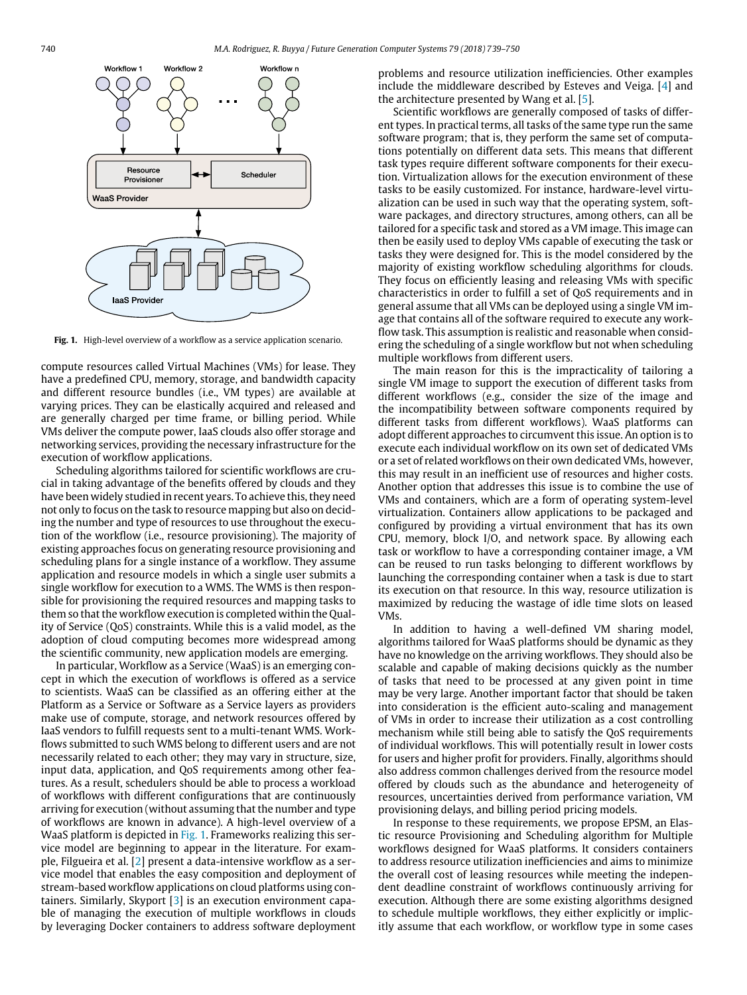<span id="page-1-0"></span>

**Fig. 1.** High-level overview of a workflow as a service application scenario.

compute resources called Virtual Machines (VMs) for lease. They have a predefined CPU, memory, storage, and bandwidth capacity and different resource bundles (i.e., VM types) are available at varying prices. They can be elastically acquired and released and are generally charged per time frame, or billing period. While VMs deliver the compute power, IaaS clouds also offer storage and networking services, providing the necessary infrastructure for the execution of workflow applications.

Scheduling algorithms tailored for scientific workflows are crucial in taking advantage of the benefits offered by clouds and they have been widely studied in recent years. To achieve this, they need not only to focus on the task to resource mapping but also on deciding the number and type of resources to use throughout the execution of the workflow (i.e., resource provisioning). The majority of existing approaches focus on generating resource provisioning and scheduling plans for a single instance of a workflow. They assume application and resource models in which a single user submits a single workflow for execution to a WMS. The WMS is then responsible for provisioning the required resources and mapping tasks to them so that the workflow execution is completed within the Quality of Service (QoS) constraints. While this is a valid model, as the adoption of cloud computing becomes more widespread among the scientific community, new application models are emerging.

In particular, Workflow as a Service (WaaS) is an emerging concept in which the execution of workflows is offered as a service to scientists. WaaS can be classified as an offering either at the Platform as a Service or Software as a Service layers as providers make use of compute, storage, and network resources offered by IaaS vendors to fulfill requests sent to a multi-tenant WMS. Workflows submitted to such WMS belong to different users and are not necessarily related to each other; they may vary in structure, size, input data, application, and QoS requirements among other features. As a result, schedulers should be able to process a workload of workflows with different configurations that are continuously arriving for execution (without assuming that the number and type of workflows are known in advance). A high-level overview of a WaaS platform is depicted in [Fig. 1.](#page-1-0) Frameworks realizing this service model are beginning to appear in the literature. For example, Filgueira et al. [\[2\]](#page-11-3) present a data-intensive workflow as a service model that enables the easy composition and deployment of stream-based workflow applications on cloud platforms using containers. Similarly, Skyport [\[3\]](#page-11-4) is an execution environment capable of managing the execution of multiple workflows in clouds by leveraging Docker containers to address software deployment problems and resource utilization inefficiencies. Other examples include the middleware described by Esteves and Veiga. [\[4\]](#page-11-5) and the architecture presented by Wang et al. [\[5\]](#page-11-6).

Scientific workflows are generally composed of tasks of different types. In practical terms, all tasks of the same type run the same software program; that is, they perform the same set of computations potentially on different data sets. This means that different task types require different software components for their execution. Virtualization allows for the execution environment of these tasks to be easily customized. For instance, hardware-level virtualization can be used in such way that the operating system, software packages, and directory structures, among others, can all be tailored for a specific task and stored as a VM image. This image can then be easily used to deploy VMs capable of executing the task or tasks they were designed for. This is the model considered by the majority of existing workflow scheduling algorithms for clouds. They focus on efficiently leasing and releasing VMs with specific characteristics in order to fulfill a set of QoS requirements and in general assume that all VMs can be deployed using a single VM image that contains all of the software required to execute any workflow task. This assumption is realistic and reasonable when considering the scheduling of a single workflow but not when scheduling multiple workflows from different users.

The main reason for this is the impracticality of tailoring a single VM image to support the execution of different tasks from different workflows (e.g., consider the size of the image and the incompatibility between software components required by different tasks from different workflows). WaaS platforms can adopt different approaches to circumvent this issue. An option is to execute each individual workflow on its own set of dedicated VMs or a set of related workflows on their own dedicated VMs, however, this may result in an inefficient use of resources and higher costs. Another option that addresses this issue is to combine the use of VMs and containers, which are a form of operating system-level virtualization. Containers allow applications to be packaged and configured by providing a virtual environment that has its own CPU, memory, block I/O, and network space. By allowing each task or workflow to have a corresponding container image, a VM can be reused to run tasks belonging to different workflows by launching the corresponding container when a task is due to start its execution on that resource. In this way, resource utilization is maximized by reducing the wastage of idle time slots on leased VMs.

In addition to having a well-defined VM sharing model, algorithms tailored for WaaS platforms should be dynamic as they have no knowledge on the arriving workflows. They should also be scalable and capable of making decisions quickly as the number of tasks that need to be processed at any given point in time may be very large. Another important factor that should be taken into consideration is the efficient auto-scaling and management of VMs in order to increase their utilization as a cost controlling mechanism while still being able to satisfy the QoS requirements of individual workflows. This will potentially result in lower costs for users and higher profit for providers. Finally, algorithms should also address common challenges derived from the resource model offered by clouds such as the abundance and heterogeneity of resources, uncertainties derived from performance variation, VM provisioning delays, and billing period pricing models.

In response to these requirements, we propose EPSM, an Elastic resource Provisioning and Scheduling algorithm for Multiple workflows designed for WaaS platforms. It considers containers to address resource utilization inefficiencies and aims to minimize the overall cost of leasing resources while meeting the independent deadline constraint of workflows continuously arriving for execution. Although there are some existing algorithms designed to schedule multiple workflows, they either explicitly or implicitly assume that each workflow, or workflow type in some cases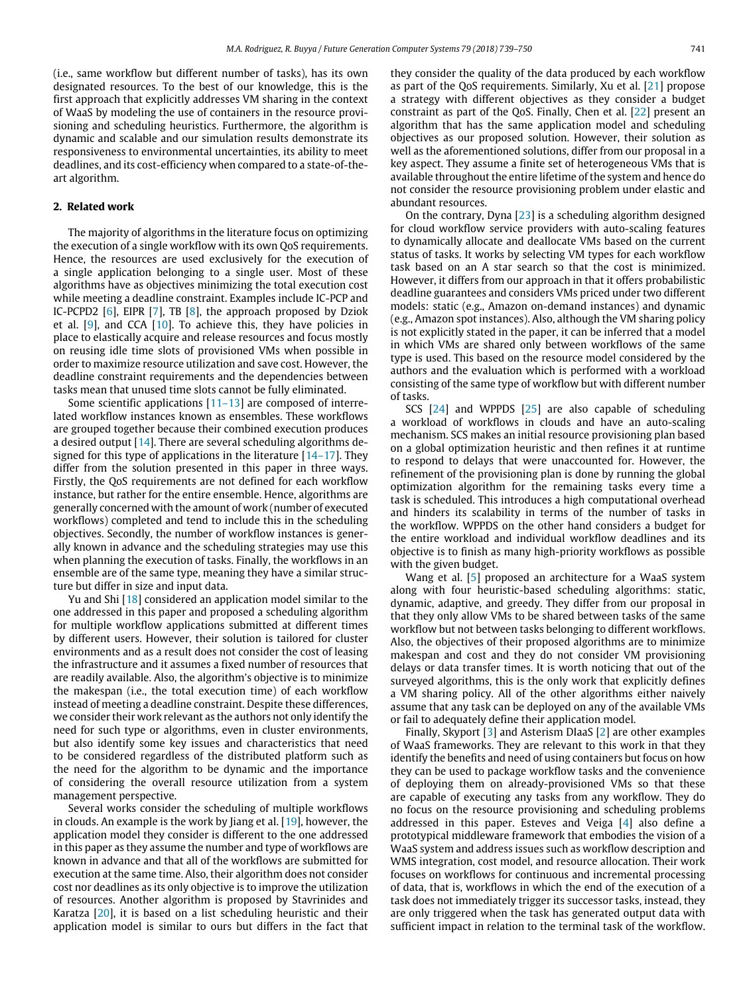(i.e., same workflow but different number of tasks), has its own designated resources. To the best of our knowledge, this is the first approach that explicitly addresses VM sharing in the context of WaaS by modeling the use of containers in the resource provisioning and scheduling heuristics. Furthermore, the algorithm is dynamic and scalable and our simulation results demonstrate its responsiveness to environmental uncertainties, its ability to meet deadlines, and its cost-efficiency when compared to a state-of-theart algorithm.

# **2. Related work**

The majority of algorithms in the literature focus on optimizing the execution of a single workflow with its own QoS requirements. Hence, the resources are used exclusively for the execution of a single application belonging to a single user. Most of these algorithms have as objectives minimizing the total execution cost while meeting a deadline constraint. Examples include IC-PCP and IC-PCPD2 [\[6\]](#page-11-7), EIPR [\[7\]](#page-11-8), TB [\[8\]](#page-11-9), the approach proposed by Dziok et al. [\[9\]](#page-11-10), and CCA [\[10\]](#page-11-11). To achieve this, they have policies in place to elastically acquire and release resources and focus mostly on reusing idle time slots of provisioned VMs when possible in order to maximize resource utilization and save cost. However, the deadline constraint requirements and the dependencies between tasks mean that unused time slots cannot be fully eliminated.

Some scientific applications  $[11-13]$  are composed of interrelated workflow instances known as ensembles. These workflows are grouped together because their combined execution produces a desired output [\[14\]](#page-11-13). There are several scheduling algorithms designed for this type of applications in the literature [\[14–17\]](#page-11-13). They differ from the solution presented in this paper in three ways. Firstly, the QoS requirements are not defined for each workflow instance, but rather for the entire ensemble. Hence, algorithms are generally concerned with the amount of work (number of executed workflows) completed and tend to include this in the scheduling objectives. Secondly, the number of workflow instances is generally known in advance and the scheduling strategies may use this when planning the execution of tasks. Finally, the workflows in an ensemble are of the same type, meaning they have a similar structure but differ in size and input data.

Yu and Shi [\[18\]](#page-11-14) considered an application model similar to the one addressed in this paper and proposed a scheduling algorithm for multiple workflow applications submitted at different times by different users. However, their solution is tailored for cluster environments and as a result does not consider the cost of leasing the infrastructure and it assumes a fixed number of resources that are readily available. Also, the algorithm's objective is to minimize the makespan (i.e., the total execution time) of each workflow instead of meeting a deadline constraint. Despite these differences, we consider their work relevant as the authors not only identify the need for such type or algorithms, even in cluster environments, but also identify some key issues and characteristics that need to be considered regardless of the distributed platform such as the need for the algorithm to be dynamic and the importance of considering the overall resource utilization from a system management perspective.

Several works consider the scheduling of multiple workflows in clouds. An example is the work by Jiang et al. [\[19\]](#page-11-15), however, the application model they consider is different to the one addressed in this paper as they assume the number and type of workflows are known in advance and that all of the workflows are submitted for execution at the same time. Also, their algorithm does not consider cost nor deadlines as its only objective is to improve the utilization of resources. Another algorithm is proposed by Stavrinides and Karatza [\[20\]](#page-11-16), it is based on a list scheduling heuristic and their application model is similar to ours but differs in the fact that they consider the quality of the data produced by each workflow as part of the QoS requirements. Similarly, Xu et al. [\[21\]](#page-11-17) propose a strategy with different objectives as they consider a budget constraint as part of the QoS. Finally, Chen et al. [\[22\]](#page-11-18) present an algorithm that has the same application model and scheduling objectives as our proposed solution. However, their solution as well as the aforementioned solutions, differ from our proposal in a key aspect. They assume a finite set of heterogeneous VMs that is available throughout the entire lifetime of the system and hence do not consider the resource provisioning problem under elastic and abundant resources.

On the contrary, Dyna [\[23\]](#page-11-19) is a scheduling algorithm designed for cloud workflow service providers with auto-scaling features to dynamically allocate and deallocate VMs based on the current status of tasks. It works by selecting VM types for each workflow task based on an A star search so that the cost is minimized. However, it differs from our approach in that it offers probabilistic deadline guarantees and considers VMs priced under two different models: static (e.g., Amazon on-demand instances) and dynamic (e.g., Amazon spot instances). Also, although the VM sharing policy is not explicitly stated in the paper, it can be inferred that a model in which VMs are shared only between workflows of the same type is used. This based on the resource model considered by the authors and the evaluation which is performed with a workload consisting of the same type of workflow but with different number of tasks.

SCS [\[24\]](#page-11-20) and WPPDS [\[25\]](#page-11-21) are also capable of scheduling a workload of workflows in clouds and have an auto-scaling mechanism. SCS makes an initial resource provisioning plan based on a global optimization heuristic and then refines it at runtime to respond to delays that were unaccounted for. However, the refinement of the provisioning plan is done by running the global optimization algorithm for the remaining tasks every time a task is scheduled. This introduces a high computational overhead and hinders its scalability in terms of the number of tasks in the workflow. WPPDS on the other hand considers a budget for the entire workload and individual workflow deadlines and its objective is to finish as many high-priority workflows as possible with the given budget.

Wang et al. [\[5\]](#page-11-6) proposed an architecture for a WaaS system along with four heuristic-based scheduling algorithms: static, dynamic, adaptive, and greedy. They differ from our proposal in that they only allow VMs to be shared between tasks of the same workflow but not between tasks belonging to different workflows. Also, the objectives of their proposed algorithms are to minimize makespan and cost and they do not consider VM provisioning delays or data transfer times. It is worth noticing that out of the surveyed algorithms, this is the only work that explicitly defines a VM sharing policy. All of the other algorithms either naively assume that any task can be deployed on any of the available VMs or fail to adequately define their application model.

Finally, Skyport [\[3\]](#page-11-4) and Asterism DIaaS [\[2\]](#page-11-3) are other examples of WaaS frameworks. They are relevant to this work in that they identify the benefits and need of using containers but focus on how they can be used to package workflow tasks and the convenience of deploying them on already-provisioned VMs so that these are capable of executing any tasks from any workflow. They do no focus on the resource provisioning and scheduling problems addressed in this paper. Esteves and Veiga [\[4\]](#page-11-5) also define a prototypical middleware framework that embodies the vision of a WaaS system and address issues such as workflow description and WMS integration, cost model, and resource allocation. Their work focuses on workflows for continuous and incremental processing of data, that is, workflows in which the end of the execution of a task does not immediately trigger its successor tasks, instead, they are only triggered when the task has generated output data with sufficient impact in relation to the terminal task of the workflow.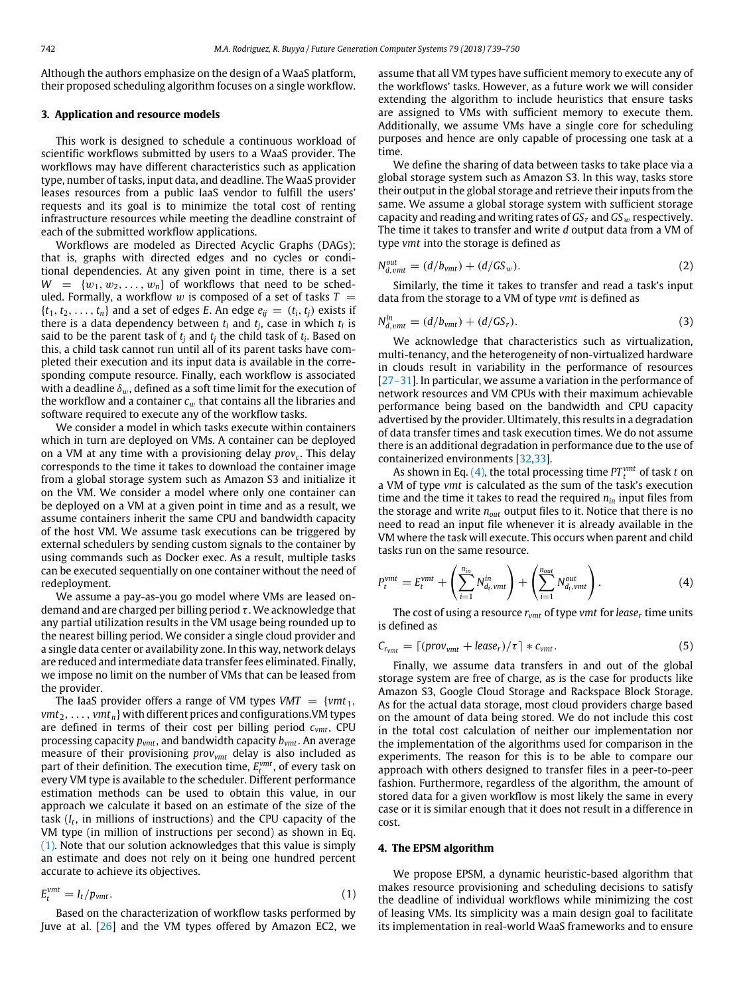Although the authors emphasize on the design of a WaaS platform, their proposed scheduling algorithm focuses on a single workflow.

#### **3. Application and resource models**

This work is designed to schedule a continuous workload of scientific workflows submitted by users to a WaaS provider. The workflows may have different characteristics such as application type, number of tasks, input data, and deadline. The WaaS provider leases resources from a public IaaS vendor to fulfill the users' requests and its goal is to minimize the total cost of renting infrastructure resources while meeting the deadline constraint of each of the submitted workflow applications.

Workflows are modeled as Directed Acyclic Graphs (DAGs); that is, graphs with directed edges and no cycles or conditional dependencies. At any given point in time, there is a set  $W = \{w_1, w_2, \ldots, w_n\}$  of workflows that need to be scheduled. Formally, a workflow w is composed of a set of tasks  $T =$  ${t_1, t_2, \ldots, t_n}$  and a set of edges *E*. An edge  $e_{ij} = (t_i, t_j)$  exists if there is a data dependency between *t<sup>i</sup>* and *t<sup>j</sup>* , case in which *t<sup>i</sup>* is said to be the parent task of *t<sup>j</sup>* and *t<sup>j</sup>* the child task of *t<sup>i</sup>* . Based on this, a child task cannot run until all of its parent tasks have completed their execution and its input data is available in the corresponding compute resource. Finally, each workflow is associated with a deadline  $\delta_w$ , defined as a soft time limit for the execution of the workflow and a container  $c_w$  that contains all the libraries and software required to execute any of the workflow tasks.

We consider a model in which tasks execute within containers which in turn are deployed on VMs. A container can be deployed on a VM at any time with a provisioning delay *prov<sup>c</sup>* . This delay corresponds to the time it takes to download the container image from a global storage system such as Amazon S3 and initialize it on the VM. We consider a model where only one container can be deployed on a VM at a given point in time and as a result, we assume containers inherit the same CPU and bandwidth capacity of the host VM. We assume task executions can be triggered by external schedulers by sending custom signals to the container by using commands such as Docker exec. As a result, multiple tasks can be executed sequentially on one container without the need of redeployment.

We assume a pay-as-you go model where VMs are leased ondemand and are charged per billing period  $\tau$ . We acknowledge that any partial utilization results in the VM usage being rounded up to the nearest billing period. We consider a single cloud provider and a single data center or availability zone. In this way, network delays are reduced and intermediate data transfer fees eliminated. Finally, we impose no limit on the number of VMs that can be leased from the provider.

The IaaS provider offers a range of VM types  $VMT = \{vmt_1,$  $vmt_2, \ldots, vmt_n$  with different prices and configurations. VM types are defined in terms of their cost per billing period *cvmt*, CPU processing capacity *pvmt*, and bandwidth capacity *bvmt*. An average measure of their provisioning *provvmt* delay is also included as part of their definition. The execution time,  $E_t^{vm}$ , of every task on every VM type is available to the scheduler. Different performance estimation methods can be used to obtain this value, in our approach we calculate it based on an estimate of the size of the task (*I<sup>t</sup>* , in millions of instructions) and the CPU capacity of the VM type (in million of instructions per second) as shown in Eq. [\(1\).](#page-3-0) Note that our solution acknowledges that this value is simply an estimate and does not rely on it being one hundred percent accurate to achieve its objectives.

$$
E_t^{vmt} = I_t / p_{vmt}.
$$
\n<sup>(1)</sup>

Based on the characterization of workflow tasks performed by Juve at al. [\[26\]](#page-11-22) and the VM types offered by Amazon EC2, we assume that all VM types have sufficient memory to execute any of the workflows' tasks. However, as a future work we will consider extending the algorithm to include heuristics that ensure tasks are assigned to VMs with sufficient memory to execute them. Additionally, we assume VMs have a single core for scheduling purposes and hence are only capable of processing one task at a time.

We define the sharing of data between tasks to take place via a global storage system such as Amazon S3. In this way, tasks store their output in the global storage and retrieve their inputs from the same. We assume a global storage system with sufficient storage capacity and reading and writing rates of  $GS_r$  and  $GS_w$  respectively. The time it takes to transfer and write *d* output data from a VM of type *vmt* into the storage is defined as

$$
N_{d,vmt}^{out} = (d/b_{vmt}) + (d/GS_w).
$$
 (2)

Similarly, the time it takes to transfer and read a task's input data from the storage to a VM of type *vmt* is defined as

$$
N_{d,vmt}^{in} = (d/b_{vmt}) + (d/GS_r).
$$
 (3)

We acknowledge that characteristics such as virtualization, multi-tenancy, and the heterogeneity of non-virtualized hardware in clouds result in variability in the performance of resources [\[27–31\]](#page-11-23). In particular, we assume a variation in the performance of network resources and VM CPUs with their maximum achievable performance being based on the bandwidth and CPU capacity advertised by the provider. Ultimately, this results in a degradation of data transfer times and task execution times. We do not assume there is an additional degradation in performance due to the use of containerized environments [\[32](#page-11-24)[,33\]](#page-11-25).

As shown in Eq. [\(4\),](#page-3-1) the total processing time  $PT_t^{vmt}$  of task *t* on a VM of type *vmt* is calculated as the sum of the task's execution time and the time it takes to read the required *nin* input files from the storage and write *nout* output files to it. Notice that there is no need to read an input file whenever it is already available in the VM where the task will execute. This occurs when parent and child tasks run on the same resource.

<span id="page-3-1"></span>
$$
P_t^{vmt} = E_t^{vmt} + \left(\sum_{i=1}^{n_{in}} N_{d_i,vmt}^{in}\right) + \left(\sum_{i=1}^{n_{out}} N_{d_i,vmt}^{out}\right).
$$
 (4)

The cost of using a resource *rvmt* of type *vmt* for *lease<sup>r</sup>* time units is defined as

$$
C_{r_{vmt}} = \lceil (prov_{vmt} + lease_r) / \tau \rceil * c_{vmt}.
$$
 (5)

Finally, we assume data transfers in and out of the global storage system are free of charge, as is the case for products like Amazon S3, Google Cloud Storage and Rackspace Block Storage. As for the actual data storage, most cloud providers charge based on the amount of data being stored. We do not include this cost in the total cost calculation of neither our implementation nor the implementation of the algorithms used for comparison in the experiments. The reason for this is to be able to compare our approach with others designed to transfer files in a peer-to-peer fashion. Furthermore, regardless of the algorithm, the amount of stored data for a given workflow is most likely the same in every case or it is similar enough that it does not result in a difference in cost.

#### **4. The EPSM algorithm**

<span id="page-3-0"></span>We propose EPSM, a dynamic heuristic-based algorithm that makes resource provisioning and scheduling decisions to satisfy the deadline of individual workflows while minimizing the cost of leasing VMs. Its simplicity was a main design goal to facilitate its implementation in real-world WaaS frameworks and to ensure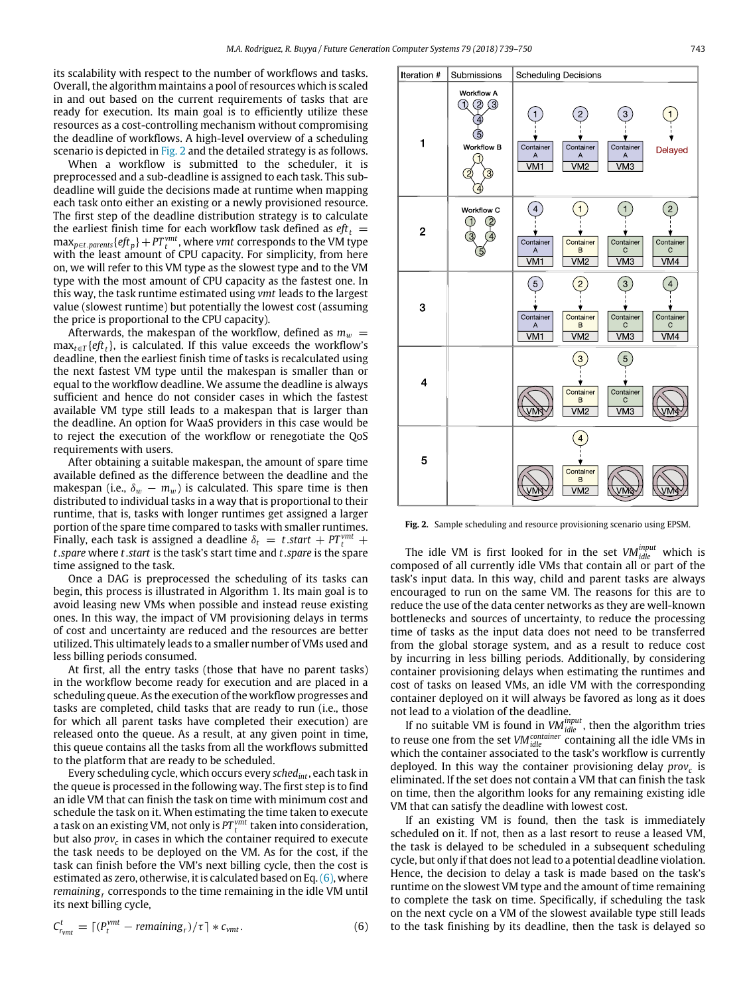<span id="page-4-0"></span>Iteration #

 $\mathbf{1}$ 

Submissions **Workflow A**  $Q(2)$ 

> $\phi$  $\overline{\mathsf{G}}$

**Workflow B** 

 $\odot$ ര്  $\Delta$ 

⊙

Workflow C ➀ 2

its scalability with respect to the number of workflows and tasks. Overall, the algorithm maintains a pool of resources which is scaled in and out based on the current requirements of tasks that are ready for execution. Its main goal is to efficiently utilize these resources as a cost-controlling mechanism without compromising the deadline of workflows. A high-level overview of a scheduling scenario is depicted in [Fig. 2](#page-4-0) and the detailed strategy is as follows.

When a workflow is submitted to the scheduler, it is preprocessed and a sub-deadline is assigned to each task. This subdeadline will guide the decisions made at runtime when mapping each task onto either an existing or a newly provisioned resource. The first step of the deadline distribution strategy is to calculate the earliest finish time for each workflow task defined as  $eft_t =$  $\max_{p \in t \text{. parents}} \{ eft_p \} + PT_t^{vmt}$ , where *vmt* corresponds to the VM type with the least amount of CPU capacity. For simplicity, from here on, we will refer to this VM type as the slowest type and to the VM type with the most amount of CPU capacity as the fastest one. In this way, the task runtime estimated using *vmt* leads to the largest value (slowest runtime) but potentially the lowest cost (assuming the price is proportional to the CPU capacity).

Afterwards, the makespan of the workflow, defined as  $m_w =$ max*t*∈*<sup>T</sup>* {*eft<sup>t</sup>* }, is calculated. If this value exceeds the workflow's deadline, then the earliest finish time of tasks is recalculated using the next fastest VM type until the makespan is smaller than or equal to the workflow deadline. We assume the deadline is always sufficient and hence do not consider cases in which the fastest available VM type still leads to a makespan that is larger than the deadline. An option for WaaS providers in this case would be to reject the execution of the workflow or renegotiate the QoS requirements with users.

After obtaining a suitable makespan, the amount of spare time available defined as the difference between the deadline and the makespan (i.e.,  $\delta_w - m_w$ ) is calculated. This spare time is then distributed to individual tasks in a way that is proportional to their runtime, that is, tasks with longer runtimes get assigned a larger portion of the spare time compared to tasks with smaller runtimes. Finally, each task is assigned a deadline  $\delta_t = t.start + PT_t^{vmt} + t$ *t*.*spare* where *t*.*start* is the task's start time and *t*.*spare* is the spare time assigned to the task.

Once a DAG is preprocessed the scheduling of its tasks can begin, this process is illustrated in Algorithm 1. Its main goal is to avoid leasing new VMs when possible and instead reuse existing ones. In this way, the impact of VM provisioning delays in terms of cost and uncertainty are reduced and the resources are better utilized. This ultimately leads to a smaller number of VMs used and less billing periods consumed.

At first, all the entry tasks (those that have no parent tasks) in the workflow become ready for execution and are placed in a scheduling queue. As the execution of the workflow progresses and tasks are completed, child tasks that are ready to run (i.e., those for which all parent tasks have completed their execution) are released onto the queue. As a result, at any given point in time, this queue contains all the tasks from all the workflows submitted to the platform that are ready to be scheduled.

Every scheduling cycle, which occurs every *schedint*, each task in the queue is processed in the following way. The first step is to find an idle VM that can finish the task on time with minimum cost and schedule the task on it. When estimating the time taken to execute a task on an existing VM, not only is *PT vmt t* taken into consideration, but also  $\mathit{prov}_c$  in cases in which the container required to execute the task needs to be deployed on the VM. As for the cost, if the task can finish before the VM's next billing cycle, then the cost is estimated as zero, otherwise, it is calculated based on Eq.  $(6)$ , where *remaining<sup>r</sup>* corresponds to the time remaining in the idle VM until its next billing cycle,

$$
C_{r_{vmt}}^t = \lceil (P_t^{vmt} - remaining_r)/\tau \rceil * c_{vmt}.
$$
 (6)



**Scheduling Decisions** 

 $(1)$ 

Container

 $\overline{A}$ 

 $(4)$ 

 $\nu$ M1

 $(2)$ 

Container

 $\overline{A}$ 

 $V<sub>M2</sub>$ 

 $\bigodot$ 

່ 3

Containe

 $\overline{A}$ 

 $V<sub>M3</sub>$ 

 $\left( \begin{matrix} 1 \end{matrix} \right)$ 

**Fig. 2.** Sample scheduling and resource provisioning scenario using EPSM.

 $VM2$ 

The idle VM is first looked for in the set *VMinput idle* which is composed of all currently idle VMs that contain all or part of the task's input data. In this way, child and parent tasks are always encouraged to run on the same VM. The reasons for this are to reduce the use of the data center networks as they are well-known bottlenecks and sources of uncertainty, to reduce the processing time of tasks as the input data does not need to be transferred from the global storage system, and as a result to reduce cost by incurring in less billing periods. Additionally, by considering container provisioning delays when estimating the runtimes and cost of tasks on leased VMs, an idle VM with the corresponding container deployed on it will always be favored as long as it does not lead to a violation of the deadline.

If no suitable VM is found in  $VM_{idle}^{input}$ , then the algorithm tries to reuse one from the set *VM*<sup>*container*</sup> containing all the idle VMs in which the container associated to the task's workflow is currently deployed. In this way the container provisioning delay *prov<sup>c</sup>* is eliminated. If the set does not contain a VM that can finish the task on time, then the algorithm looks for any remaining existing idle VM that can satisfy the deadline with lowest cost.

<span id="page-4-1"></span>If an existing VM is found, then the task is immediately scheduled on it. If not, then as a last resort to reuse a leased VM, the task is delayed to be scheduled in a subsequent scheduling cycle, but only if that does not lead to a potential deadline violation. Hence, the decision to delay a task is made based on the task's runtime on the slowest VM type and the amount of time remaining to complete the task on time. Specifically, if scheduling the task on the next cycle on a VM of the slowest available type still leads to the task finishing by its deadline, then the task is delayed so

 $(1)$ 

Delayed

 $(2)$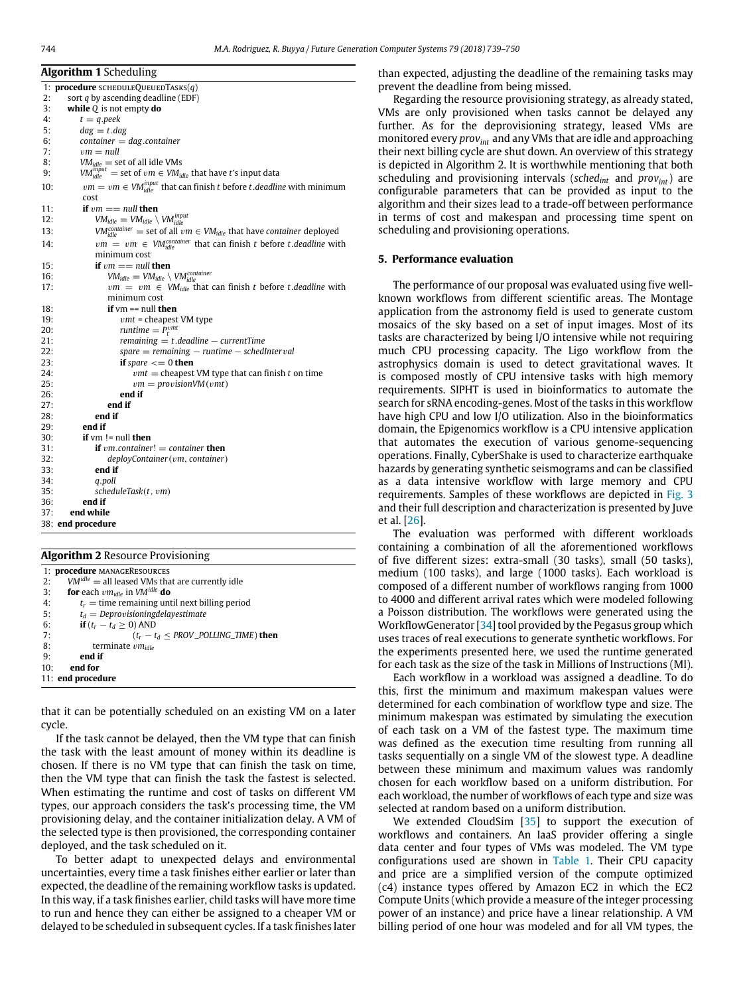#### **Algorithm 1** Scheduling

|     | 1: <b>procedure</b> SCHEDULEQUEUEDTASKS $(q)$                                                                                  |
|-----|--------------------------------------------------------------------------------------------------------------------------------|
| 2:  | sort $q$ by ascending deadline (EDF)                                                                                           |
| 3:  | <b>while</b> $Q$ is not empty <b>do</b>                                                                                        |
| 4:  | $t = q,$ peek                                                                                                                  |
| 5:  | $dag = t.dag$                                                                                                                  |
| 6:  | $container = dag.contribiner$                                                                                                  |
| 7:  | $vm = null$                                                                                                                    |
| 8:  | $VM_{idle}$ = set of all idle VMs                                                                                              |
| 9:  | $\textit{VM}^\textit{input}_\textit{idle} = \text{set of } \textit{vm} \in \textit{VM}_\textit{idle}$ that have t's input data |
| 10: | $vm = vw \in VM_{idle}^{input}$ that can finish t before t deadline with minimum                                               |
|     | cost                                                                                                                           |
| 11: | if $vm == null$ then                                                                                                           |
| 12: | $VM_{idle} = VM_{idle} \setminus VM_{idle}^{input}$                                                                            |
| 13: | $VM_{idle}^{container}$ = set of all $vm \in VM_{idle}$ that have container deployed                                           |
| 14: | $vm =vm \in VM_{idle}^{container}$ that can finish t before t deadline with                                                    |
|     | minimum cost                                                                                                                   |
| 15: | <b>if</b> $vm == null$ then                                                                                                    |
| 16: | $VM_{idle} = VM_{idle} \setminus VM_{idle}^{container}$                                                                        |
| 17: | $vm =vm \in VM_{idle}$ that can finish t before t deadline with                                                                |
|     | minimum cost                                                                                                                   |
| 18: | <b>if</b> $vm == null$ then                                                                                                    |
| 19: | $vmt$ = cheapest VM type                                                                                                       |
| 20: | runtime $= P_t^{vmt}$                                                                                                          |
| 21: | $remaining = t$ . deadline $-$ current Time                                                                                    |
| 22: | $space = remaining - runtime - scheduler$                                                                                      |
| 23: | if spare $\leq$ 0 then                                                                                                         |
| 24: | $vmt =$ cheapest VM type that can finish t on time                                                                             |
| 25: | $vm = provisionVM(vmt)$                                                                                                        |
| 26: | end if                                                                                                                         |
| 27: | end if                                                                                                                         |
| 28: | end if                                                                                                                         |
| 29: | end if                                                                                                                         |
| 30: | <b>if</b> $vm$ != null <b>then</b>                                                                                             |
| 31: | <b>if</b> vm.container! $=$ container <b>then</b>                                                                              |
| 32: | deployContainer (vm, container)                                                                                                |
| 33: | end if                                                                                                                         |
| 34: | q.poll                                                                                                                         |
| 35: | scheduleTask(t, vm)                                                                                                            |
| 36: | end if                                                                                                                         |
| 37: | end while                                                                                                                      |
|     | 38: end procedure                                                                                                              |
|     |                                                                                                                                |

#### **Algorithm 2** Resource Provisioning

|     | 1: <b>procedure</b> MANAGERESOURCES                           |  |  |  |
|-----|---------------------------------------------------------------|--|--|--|
| 2:  | $VM$ <sup>idle</sup> = all leased VMs that are currently idle |  |  |  |
| 3:  | <b>for</b> each $vm_{idle}$ in $VM^{idle}$ <b>do</b>          |  |  |  |
| 4:  | $t_r =$ time remaining until next billing period              |  |  |  |
| 5:  | $t_d = Deprovisioningdelay estimate$                          |  |  |  |
| 6:  | <b>if</b> $(t_r - t_d > 0)$ AND                               |  |  |  |
| 7:  | $(t_r - t_d <$ PROV_POLLING_TIME) then                        |  |  |  |
| 8:  | terminate $v m_{idle}$                                        |  |  |  |
| 9:  | end if                                                        |  |  |  |
| 10: | end for                                                       |  |  |  |
|     | 11: end procedure                                             |  |  |  |

that it can be potentially scheduled on an existing VM on a later cycle.

If the task cannot be delayed, then the VM type that can finish the task with the least amount of money within its deadline is chosen. If there is no VM type that can finish the task on time, then the VM type that can finish the task the fastest is selected. When estimating the runtime and cost of tasks on different VM types, our approach considers the task's processing time, the VM provisioning delay, and the container initialization delay. A VM of the selected type is then provisioned, the corresponding container deployed, and the task scheduled on it.

To better adapt to unexpected delays and environmental uncertainties, every time a task finishes either earlier or later than expected, the deadline of the remaining workflow tasks is updated. In this way, if a task finishes earlier, child tasks will have more time to run and hence they can either be assigned to a cheaper VM or delayed to be scheduled in subsequent cycles. If a task finishes later

than expected, adjusting the deadline of the remaining tasks may prevent the deadline from being missed.

Regarding the resource provisioning strategy, as already stated, VMs are only provisioned when tasks cannot be delayed any further. As for the deprovisioning strategy, leased VMs are monitored every *provint* and any VMs that are idle and approaching their next billing cycle are shut down. An overview of this strategy is depicted in Algorithm 2. It is worthwhile mentioning that both scheduling and provisioning intervals (*schedint* and *provint*) are configurable parameters that can be provided as input to the algorithm and their sizes lead to a trade-off between performance in terms of cost and makespan and processing time spent on scheduling and provisioning operations.

# **5. Performance evaluation**

The performance of our proposal was evaluated using five wellknown workflows from different scientific areas. The Montage application from the astronomy field is used to generate custom mosaics of the sky based on a set of input images. Most of its tasks are characterized by being I/O intensive while not requiring much CPU processing capacity. The Ligo workflow from the astrophysics domain is used to detect gravitational waves. It is composed mostly of CPU intensive tasks with high memory requirements. SIPHT is used in bioinformatics to automate the search for sRNA encoding-genes. Most of the tasks in this workflow have high CPU and low I/O utilization. Also in the bioinformatics domain, the Epigenomics workflow is a CPU intensive application that automates the execution of various genome-sequencing operations. Finally, CyberShake is used to characterize earthquake hazards by generating synthetic seismograms and can be classified as a data intensive workflow with large memory and CPU requirements. Samples of these workflows are depicted in [Fig. 3](#page-6-0) and their full description and characterization is presented by Juve et al. [\[26\]](#page-11-22).

The evaluation was performed with different workloads containing a combination of all the aforementioned workflows of five different sizes: extra-small (30 tasks), small (50 tasks), medium (100 tasks), and large (1000 tasks). Each workload is composed of a different number of workflows ranging from 1000 to 4000 and different arrival rates which were modeled following a Poisson distribution. The workflows were generated using the WorkflowGenerator [\[34\]](#page-11-26) tool provided by the Pegasus group which uses traces of real executions to generate synthetic workflows. For the experiments presented here, we used the runtime generated for each task as the size of the task in Millions of Instructions (MI).

Each workflow in a workload was assigned a deadline. To do this, first the minimum and maximum makespan values were determined for each combination of workflow type and size. The minimum makespan was estimated by simulating the execution of each task on a VM of the fastest type. The maximum time was defined as the execution time resulting from running all tasks sequentially on a single VM of the slowest type. A deadline between these minimum and maximum values was randomly chosen for each workflow based on a uniform distribution. For each workload, the number of workflows of each type and size was selected at random based on a uniform distribution.

We extended CloudSim [\[35\]](#page-11-27) to support the execution of workflows and containers. An IaaS provider offering a single data center and four types of VMs was modeled. The VM type configurations used are shown in [Table 1.](#page-6-1) Their CPU capacity and price are a simplified version of the compute optimized (c4) instance types offered by Amazon EC2 in which the EC2 Compute Units (which provide a measure of the integer processing power of an instance) and price have a linear relationship. A VM billing period of one hour was modeled and for all VM types, the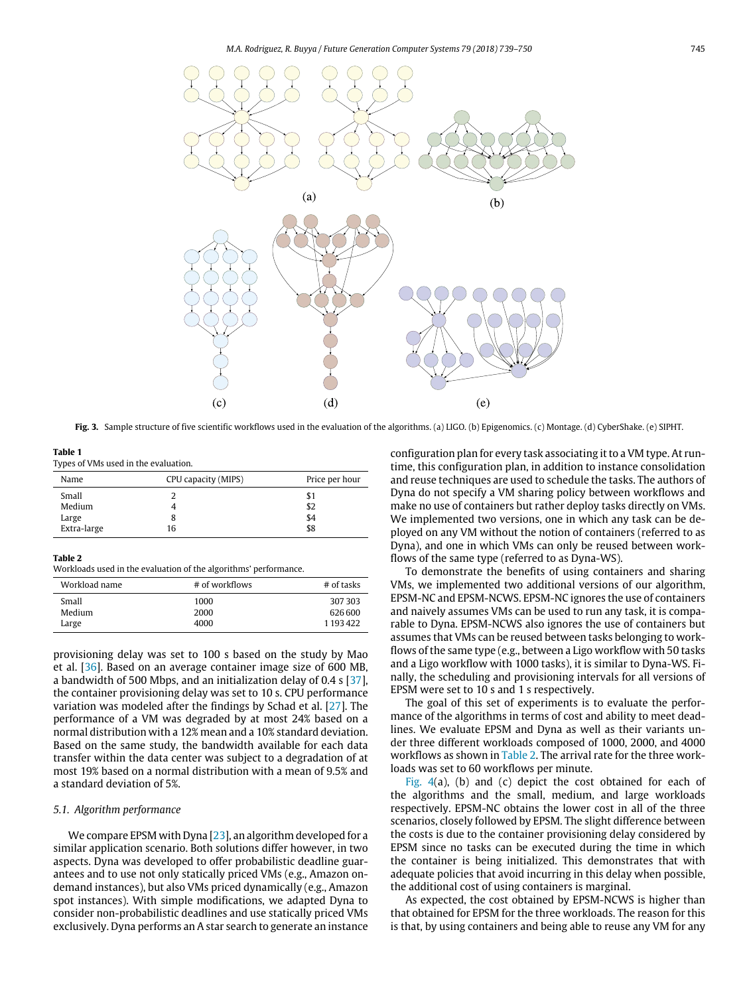<span id="page-6-0"></span>

**Fig. 3.** Sample structure of five scientific workflows used in the evaluation of the algorithms. (a) LIGO. (b) Epigenomics. (c) Montage. (d) CyberShake. (e) SIPHT.

<span id="page-6-1"></span>

| Table 1                              |  |
|--------------------------------------|--|
| Types of VMs used in the evaluation. |  |

| Name                 | CPU capacity (MIPS) | Price per hour |
|----------------------|---------------------|----------------|
| Small                |                     | \$1            |
| Medium               |                     | \$2            |
|                      |                     | \$4            |
| Large<br>Extra-large | 16                  | \$8            |
|                      |                     |                |

#### <span id="page-6-2"></span>**Table 2**

Workloads used in the evaluation of the algorithms' performance.

| Workload name   | # of workflows | $#$ of tasks      |
|-----------------|----------------|-------------------|
| Small<br>Medium | 1000<br>2000   | 307 303<br>626600 |
| Large           | 4000           | 1 1 9 3 4 2 2     |
|                 |                |                   |

provisioning delay was set to 100 s based on the study by Mao et al. [\[36\]](#page-11-28). Based on an average container image size of 600 MB, a bandwidth of 500 Mbps, and an initialization delay of 0.4 s [\[37\]](#page-11-29), the container provisioning delay was set to 10 s. CPU performance variation was modeled after the findings by Schad et al. [\[27\]](#page-11-23). The performance of a VM was degraded by at most 24% based on a normal distribution with a 12% mean and a 10% standard deviation. Based on the same study, the bandwidth available for each data transfer within the data center was subject to a degradation of at most 19% based on a normal distribution with a mean of 9.5% and a standard deviation of 5%.

# *5.1. Algorithm performance*

We compare EPSM with Dyna [\[23\]](#page-11-19), an algorithm developed for a similar application scenario. Both solutions differ however, in two aspects. Dyna was developed to offer probabilistic deadline guarantees and to use not only statically priced VMs (e.g., Amazon ondemand instances), but also VMs priced dynamically (e.g., Amazon spot instances). With simple modifications, we adapted Dyna to consider non-probabilistic deadlines and use statically priced VMs exclusively. Dyna performs an A star search to generate an instance configuration plan for every task associating it to a VM type. At runtime, this configuration plan, in addition to instance consolidation and reuse techniques are used to schedule the tasks. The authors of Dyna do not specify a VM sharing policy between workflows and make no use of containers but rather deploy tasks directly on VMs. We implemented two versions, one in which any task can be deployed on any VM without the notion of containers (referred to as Dyna), and one in which VMs can only be reused between workflows of the same type (referred to as Dyna-WS).

To demonstrate the benefits of using containers and sharing VMs, we implemented two additional versions of our algorithm, EPSM-NC and EPSM-NCWS. EPSM-NC ignores the use of containers and naively assumes VMs can be used to run any task, it is comparable to Dyna. EPSM-NCWS also ignores the use of containers but assumes that VMs can be reused between tasks belonging to workflows of the same type (e.g., between a Ligo workflow with 50 tasks and a Ligo workflow with 1000 tasks), it is similar to Dyna-WS. Finally, the scheduling and provisioning intervals for all versions of EPSM were set to 10 s and 1 s respectively.

The goal of this set of experiments is to evaluate the performance of the algorithms in terms of cost and ability to meet deadlines. We evaluate EPSM and Dyna as well as their variants under three different workloads composed of 1000, 2000, and 4000 workflows as shown in [Table 2.](#page-6-2) The arrival rate for the three workloads was set to 60 workflows per minute.

[Fig. 4\(](#page-7-0)a), (b) and (c) depict the cost obtained for each of the algorithms and the small, medium, and large workloads respectively. EPSM-NC obtains the lower cost in all of the three scenarios, closely followed by EPSM. The slight difference between the costs is due to the container provisioning delay considered by EPSM since no tasks can be executed during the time in which the container is being initialized. This demonstrates that with adequate policies that avoid incurring in this delay when possible, the additional cost of using containers is marginal.

As expected, the cost obtained by EPSM-NCWS is higher than that obtained for EPSM for the three workloads. The reason for this is that, by using containers and being able to reuse any VM for any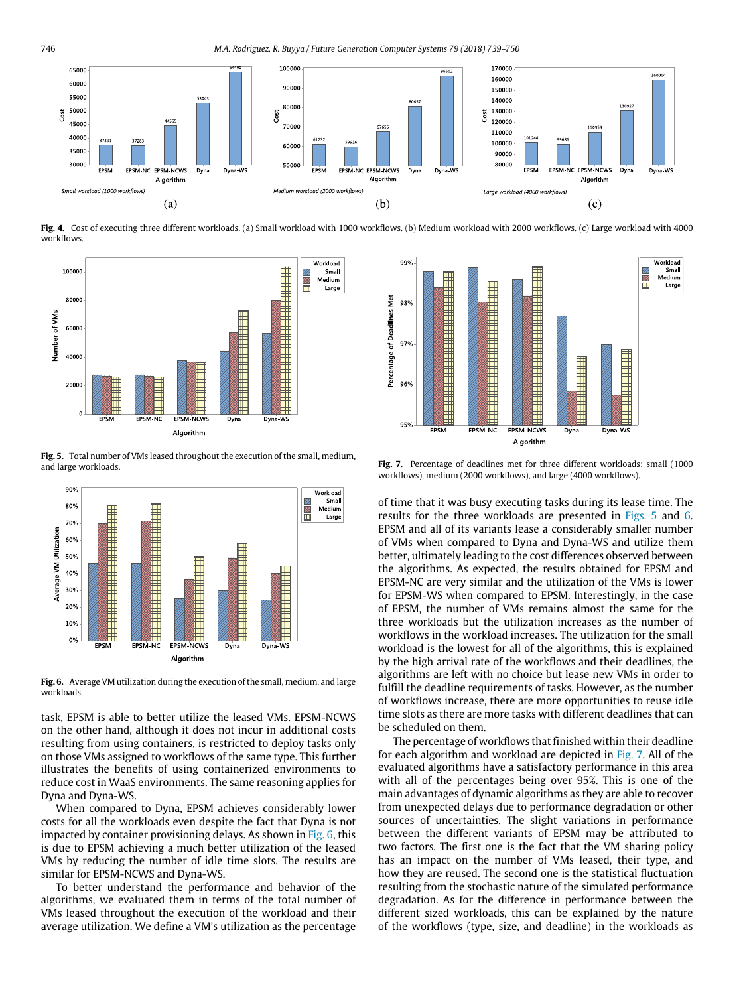746 *M.A. Rodriguez, R. Buyya / Future Generation Computer Systems 79 (2018) 739–750*

<span id="page-7-0"></span>

Fig. 4. Cost of executing three different workloads. (a) Small workload with 1000 workflows. (b) Medium workload with 2000 workflows. (c) Large workload with 4000 workflows.

<span id="page-7-2"></span>

**Fig. 5.** Total number of VMs leased throughout the execution of the small, medium, and large workloads.

<span id="page-7-1"></span>

**Fig. 6.** Average VM utilization during the execution of the small, medium, and large workloads.

task, EPSM is able to better utilize the leased VMs. EPSM-NCWS on the other hand, although it does not incur in additional costs resulting from using containers, is restricted to deploy tasks only on those VMs assigned to workflows of the same type. This further illustrates the benefits of using containerized environments to reduce cost in WaaS environments. The same reasoning applies for Dyna and Dyna-WS.

When compared to Dyna, EPSM achieves considerably lower costs for all the workloads even despite the fact that Dyna is not impacted by container provisioning delays. As shown in [Fig. 6,](#page-7-1) this is due to EPSM achieving a much better utilization of the leased VMs by reducing the number of idle time slots. The results are similar for EPSM-NCWS and Dyna-WS.

To better understand the performance and behavior of the algorithms, we evaluated them in terms of the total number of VMs leased throughout the execution of the workload and their average utilization. We define a VM's utilization as the percentage

<span id="page-7-3"></span>

**Fig. 7.** Percentage of deadlines met for three different workloads: small (1000 workflows), medium (2000 workflows), and large (4000 workflows).

of time that it was busy executing tasks during its lease time. The results for the three workloads are presented in [Figs. 5](#page-7-2) and [6.](#page-7-1) EPSM and all of its variants lease a considerably smaller number of VMs when compared to Dyna and Dyna-WS and utilize them better, ultimately leading to the cost differences observed between the algorithms. As expected, the results obtained for EPSM and EPSM-NC are very similar and the utilization of the VMs is lower for EPSM-WS when compared to EPSM. Interestingly, in the case of EPSM, the number of VMs remains almost the same for the three workloads but the utilization increases as the number of workflows in the workload increases. The utilization for the small workload is the lowest for all of the algorithms, this is explained by the high arrival rate of the workflows and their deadlines, the algorithms are left with no choice but lease new VMs in order to fulfill the deadline requirements of tasks. However, as the number of workflows increase, there are more opportunities to reuse idle time slots as there are more tasks with different deadlines that can be scheduled on them.

The percentage of workflows that finished within their deadline for each algorithm and workload are depicted in [Fig. 7.](#page-7-3) All of the evaluated algorithms have a satisfactory performance in this area with all of the percentages being over 95%. This is one of the main advantages of dynamic algorithms as they are able to recover from unexpected delays due to performance degradation or other sources of uncertainties. The slight variations in performance between the different variants of EPSM may be attributed to two factors. The first one is the fact that the VM sharing policy has an impact on the number of VMs leased, their type, and how they are reused. The second one is the statistical fluctuation resulting from the stochastic nature of the simulated performance degradation. As for the difference in performance between the different sized workloads, this can be explained by the nature of the workflows (type, size, and deadline) in the workloads as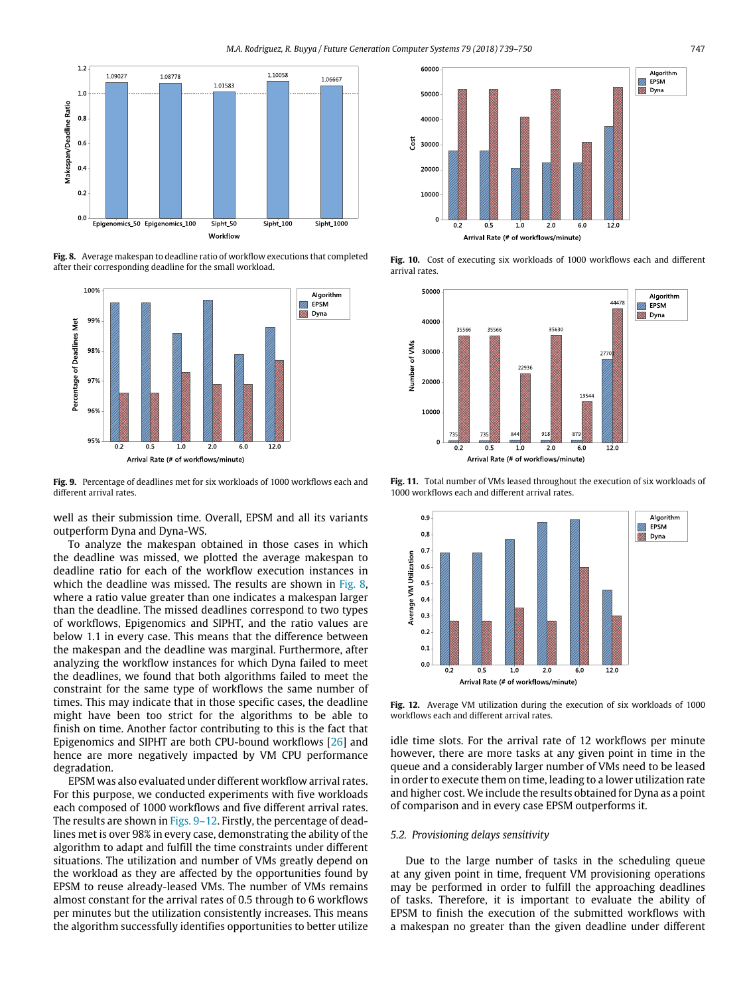<span id="page-8-0"></span>

**Fig. 8.** Average makespan to deadline ratio of workflow executions that completed after their corresponding deadline for the small workload.

<span id="page-8-1"></span>

**Fig. 9.** Percentage of deadlines met for six workloads of 1000 workflows each and different arrival rates.

well as their submission time. Overall, EPSM and all its variants outperform Dyna and Dyna-WS.

To analyze the makespan obtained in those cases in which the deadline was missed, we plotted the average makespan to deadline ratio for each of the workflow execution instances in which the deadline was missed. The results are shown in [Fig. 8,](#page-8-0) where a ratio value greater than one indicates a makespan larger than the deadline. The missed deadlines correspond to two types of workflows, Epigenomics and SIPHT, and the ratio values are below 1.1 in every case. This means that the difference between the makespan and the deadline was marginal. Furthermore, after analyzing the workflow instances for which Dyna failed to meet the deadlines, we found that both algorithms failed to meet the constraint for the same type of workflows the same number of times. This may indicate that in those specific cases, the deadline might have been too strict for the algorithms to be able to finish on time. Another factor contributing to this is the fact that Epigenomics and SIPHT are both CPU-bound workflows [\[26\]](#page-11-22) and hence are more negatively impacted by VM CPU performance degradation.

EPSM was also evaluated under different workflow arrival rates. For this purpose, we conducted experiments with five workloads each composed of 1000 workflows and five different arrival rates. The results are shown in [Figs. 9–12.](#page-8-1) Firstly, the percentage of deadlines met is over 98% in every case, demonstrating the ability of the algorithm to adapt and fulfill the time constraints under different situations. The utilization and number of VMs greatly depend on the workload as they are affected by the opportunities found by EPSM to reuse already-leased VMs. The number of VMs remains almost constant for the arrival rates of 0.5 through to 6 workflows per minutes but the utilization consistently increases. This means the algorithm successfully identifies opportunities to better utilize



**Fig. 10.** Cost of executing six workloads of 1000 workflows each and different arrival rates.



**Fig. 11.** Total number of VMs leased throughout the execution of six workloads of 1000 workflows each and different arrival rates.



**Fig. 12.** Average VM utilization during the execution of six workloads of 1000 workflows each and different arrival rates

idle time slots. For the arrival rate of 12 workflows per minute however, there are more tasks at any given point in time in the queue and a considerably larger number of VMs need to be leased in order to execute them on time, leading to a lower utilization rate and higher cost. We include the results obtained for Dyna as a point of comparison and in every case EPSM outperforms it.

### *5.2. Provisioning delays sensitivity*

Due to the large number of tasks in the scheduling queue at any given point in time, frequent VM provisioning operations may be performed in order to fulfill the approaching deadlines of tasks. Therefore, it is important to evaluate the ability of EPSM to finish the execution of the submitted workflows with a makespan no greater than the given deadline under different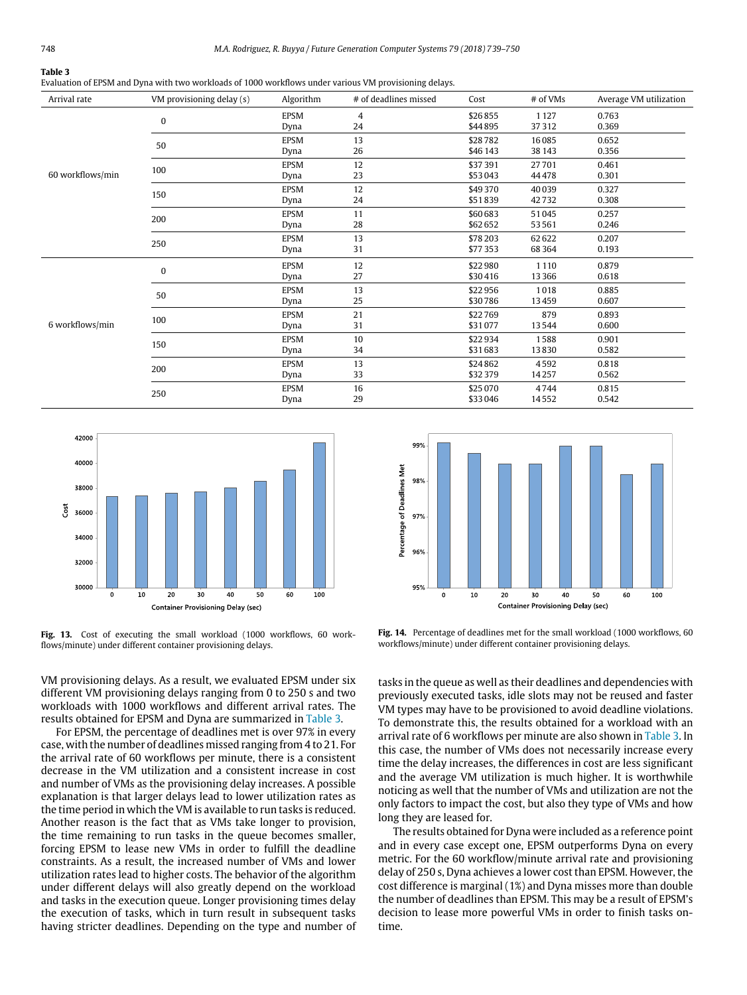### <span id="page-9-0"></span>**Table 3**

| Evaluation of EPSM and Dyna with two workloads of 1000 workflows under various VM provisioning delays. |  |  |
|--------------------------------------------------------------------------------------------------------|--|--|
|--------------------------------------------------------------------------------------------------------|--|--|

| Arrival rate     | VM provisioning delay (s) | Algorithm           | # of deadlines missed | Cost                | # of VMs        | Average VM utilization |
|------------------|---------------------------|---------------------|-----------------------|---------------------|-----------------|------------------------|
|                  | 0                         | <b>EPSM</b><br>Dyna | 4<br>24               | \$26855<br>\$44895  | 1127<br>37312   | 0.763<br>0.369         |
|                  | 50                        | <b>EPSM</b><br>Dyna | 13<br>26              | \$28782<br>\$46 143 | 16085<br>38 143 | 0.652<br>0.356         |
| 60 workflows/min | 100                       | <b>EPSM</b><br>Dyna | 12<br>23              | \$37391<br>\$53043  | 27701<br>44478  | 0.461<br>0.301         |
|                  | 150                       | <b>EPSM</b><br>Dyna | 12<br>24              | \$49370<br>\$51839  | 40039<br>42732  | 0.327<br>0.308         |
|                  | 200                       | <b>EPSM</b><br>Dyna | 11<br>28              | \$60683<br>\$62652  | 51045<br>53561  | 0.257<br>0.246         |
|                  | 250                       | <b>EPSM</b><br>Dyna | 13<br>31              | \$78203<br>\$77353  | 62622<br>68364  | 0.207<br>0.193         |
|                  | $\bf{0}$                  | <b>EPSM</b><br>Dyna | 12<br>27              | \$22980<br>\$30416  | 1110<br>13366   | 0.879<br>0.618         |
|                  | 50                        | <b>EPSM</b><br>Dyna | 13<br>25              | \$22956<br>\$30786  | 1018<br>13459   | 0.885<br>0.607         |
| 6 workflows/min  | 100                       | <b>EPSM</b><br>Dyna | 21<br>31              | \$22769<br>\$31077  | 879<br>13544    | 0.893<br>0.600         |
|                  | 150                       | <b>EPSM</b><br>Dyna | 10<br>34              | \$22934<br>\$31683  | 1588<br>13830   | 0.901<br>0.582         |
|                  | 200                       | <b>EPSM</b><br>Dyna | 13<br>33              | \$24862<br>\$32379  | 4592<br>14257   | 0.818<br>0.562         |
|                  | 250                       | <b>EPSM</b><br>Dyna | 16<br>29              | \$25070<br>\$33046  | 4744<br>14552   | 0.815<br>0.542         |

<span id="page-9-1"></span>

Fig. 13. Cost of executing the small workload (1000 workflows, 60 workflows/minute) under different container provisioning delays.

VM provisioning delays. As a result, we evaluated EPSM under six different VM provisioning delays ranging from 0 to 250 s and two workloads with 1000 workflows and different arrival rates. The results obtained for EPSM and Dyna are summarized in [Table 3.](#page-9-0)

For EPSM, the percentage of deadlines met is over 97% in every case, with the number of deadlines missed ranging from 4 to 21. For the arrival rate of 60 workflows per minute, there is a consistent decrease in the VM utilization and a consistent increase in cost and number of VMs as the provisioning delay increases. A possible explanation is that larger delays lead to lower utilization rates as the time period in which the VM is available to run tasks is reduced. Another reason is the fact that as VMs take longer to provision, the time remaining to run tasks in the queue becomes smaller, forcing EPSM to lease new VMs in order to fulfill the deadline constraints. As a result, the increased number of VMs and lower utilization rates lead to higher costs. The behavior of the algorithm under different delays will also greatly depend on the workload and tasks in the execution queue. Longer provisioning times delay the execution of tasks, which in turn result in subsequent tasks having stricter deadlines. Depending on the type and number of

<span id="page-9-2"></span>

**Fig. 14.** Percentage of deadlines met for the small workload (1000 workflows, 60 workflows/minute) under different container provisioning delays.

tasks in the queue as well as their deadlines and dependencies with previously executed tasks, idle slots may not be reused and faster VM types may have to be provisioned to avoid deadline violations. To demonstrate this, the results obtained for a workload with an arrival rate of 6 workflows per minute are also shown in [Table 3.](#page-9-0) In this case, the number of VMs does not necessarily increase every time the delay increases, the differences in cost are less significant and the average VM utilization is much higher. It is worthwhile noticing as well that the number of VMs and utilization are not the only factors to impact the cost, but also they type of VMs and how long they are leased for.

The results obtained for Dyna were included as a reference point and in every case except one, EPSM outperforms Dyna on every metric. For the 60 workflow/minute arrival rate and provisioning delay of 250 s, Dyna achieves a lower cost than EPSM. However, the cost difference is marginal (1%) and Dyna misses more than double the number of deadlines than EPSM. This may be a result of EPSM's decision to lease more powerful VMs in order to finish tasks ontime.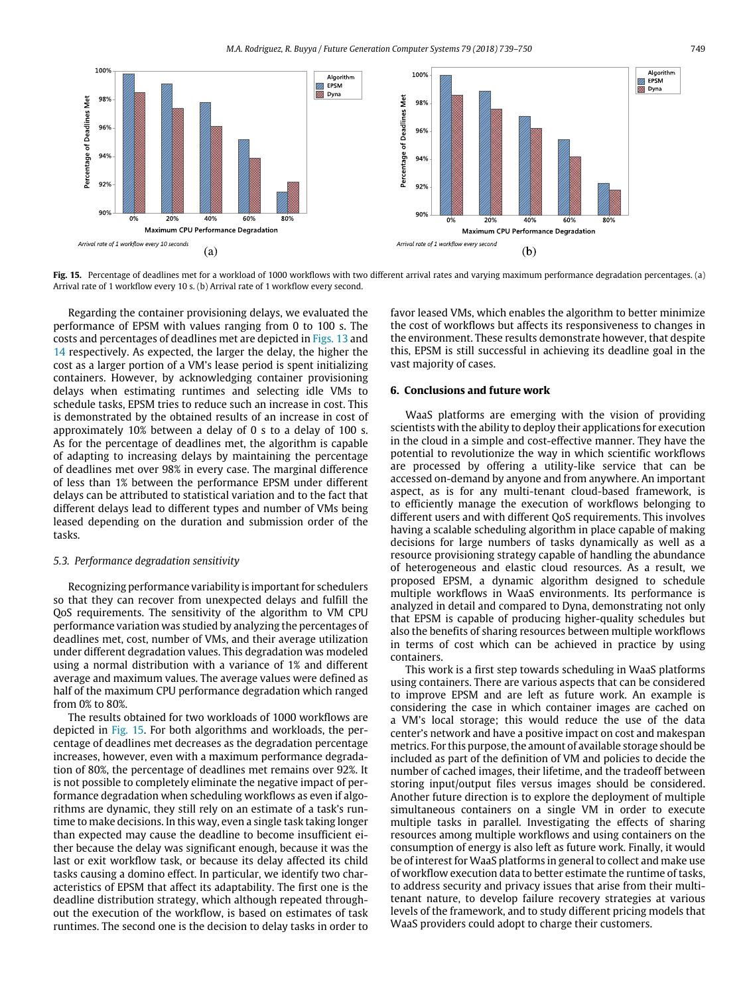<span id="page-10-0"></span>

**Fig. 15.** Percentage of deadlines met for a workload of 1000 workflows with two different arrival rates and varying maximum performance degradation percentages. (a) Arrival rate of 1 workflow every 10 s. (b) Arrival rate of 1 workflow every second.

Regarding the container provisioning delays, we evaluated the performance of EPSM with values ranging from 0 to 100 s. The costs and percentages of deadlines met are depicted in [Figs. 13](#page-9-1) and [14](#page-9-2) respectively. As expected, the larger the delay, the higher the cost as a larger portion of a VM's lease period is spent initializing containers. However, by acknowledging container provisioning delays when estimating runtimes and selecting idle VMs to schedule tasks, EPSM tries to reduce such an increase in cost. This is demonstrated by the obtained results of an increase in cost of approximately 10% between a delay of 0 s to a delay of 100 s. As for the percentage of deadlines met, the algorithm is capable of adapting to increasing delays by maintaining the percentage of deadlines met over 98% in every case. The marginal difference of less than 1% between the performance EPSM under different delays can be attributed to statistical variation and to the fact that different delays lead to different types and number of VMs being leased depending on the duration and submission order of the tasks.

#### *5.3. Performance degradation sensitivity*

Recognizing performance variability is important for schedulers so that they can recover from unexpected delays and fulfill the QoS requirements. The sensitivity of the algorithm to VM CPU performance variation was studied by analyzing the percentages of deadlines met, cost, number of VMs, and their average utilization under different degradation values. This degradation was modeled using a normal distribution with a variance of 1% and different average and maximum values. The average values were defined as half of the maximum CPU performance degradation which ranged from 0% to 80%.

The results obtained for two workloads of 1000 workflows are depicted in [Fig. 15.](#page-10-0) For both algorithms and workloads, the percentage of deadlines met decreases as the degradation percentage increases, however, even with a maximum performance degradation of 80%, the percentage of deadlines met remains over 92%. It is not possible to completely eliminate the negative impact of performance degradation when scheduling workflows as even if algorithms are dynamic, they still rely on an estimate of a task's runtime to make decisions. In this way, even a single task taking longer than expected may cause the deadline to become insufficient either because the delay was significant enough, because it was the last or exit workflow task, or because its delay affected its child tasks causing a domino effect. In particular, we identify two characteristics of EPSM that affect its adaptability. The first one is the deadline distribution strategy, which although repeated throughout the execution of the workflow, is based on estimates of task runtimes. The second one is the decision to delay tasks in order to favor leased VMs, which enables the algorithm to better minimize the cost of workflows but affects its responsiveness to changes in the environment. These results demonstrate however, that despite this, EPSM is still successful in achieving its deadline goal in the vast majority of cases.

#### **6. Conclusions and future work**

WaaS platforms are emerging with the vision of providing scientists with the ability to deploy their applications for execution in the cloud in a simple and cost-effective manner. They have the potential to revolutionize the way in which scientific workflows are processed by offering a utility-like service that can be accessed on-demand by anyone and from anywhere. An important aspect, as is for any multi-tenant cloud-based framework, is to efficiently manage the execution of workflows belonging to different users and with different QoS requirements. This involves having a scalable scheduling algorithm in place capable of making decisions for large numbers of tasks dynamically as well as a resource provisioning strategy capable of handling the abundance of heterogeneous and elastic cloud resources. As a result, we proposed EPSM, a dynamic algorithm designed to schedule multiple workflows in WaaS environments. Its performance is analyzed in detail and compared to Dyna, demonstrating not only that EPSM is capable of producing higher-quality schedules but also the benefits of sharing resources between multiple workflows in terms of cost which can be achieved in practice by using containers.

This work is a first step towards scheduling in WaaS platforms using containers. There are various aspects that can be considered to improve EPSM and are left as future work. An example is considering the case in which container images are cached on a VM's local storage; this would reduce the use of the data center's network and have a positive impact on cost and makespan metrics. For this purpose, the amount of available storage should be included as part of the definition of VM and policies to decide the number of cached images, their lifetime, and the tradeoff between storing input/output files versus images should be considered. Another future direction is to explore the deployment of multiple simultaneous containers on a single VM in order to execute multiple tasks in parallel. Investigating the effects of sharing resources among multiple workflows and using containers on the consumption of energy is also left as future work. Finally, it would be of interest for WaaS platforms in general to collect and make use of workflow execution data to better estimate the runtime of tasks, to address security and privacy issues that arise from their multitenant nature, to develop failure recovery strategies at various levels of the framework, and to study different pricing models that WaaS providers could adopt to charge their customers.